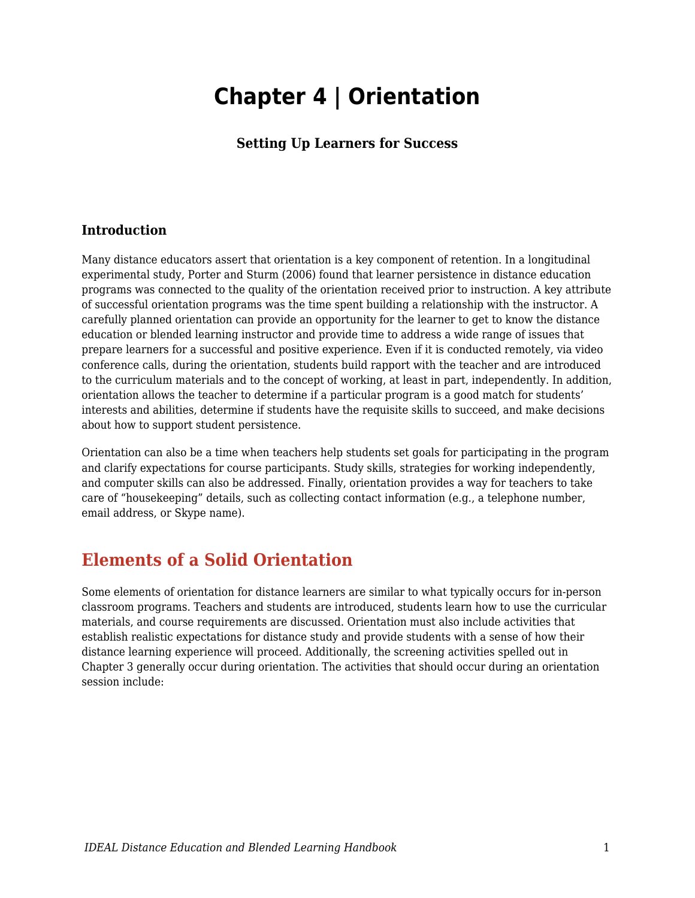# **Chapter 4 | Orientation**

#### **Setting Up Learners for Success**

#### **Introduction**

Many distance educators assert that orientation is a key component of retention. In a longitudinal experimental study, Porter and Sturm (2006) found that learner persistence in distance education programs was connected to the quality of the orientation received prior to instruction. A key attribute of successful orientation programs was the time spent building a relationship with the instructor. A carefully planned orientation can provide an opportunity for the learner to get to know the distance education or blended learning instructor and provide time to address a wide range of issues that prepare learners for a successful and positive experience. Even if it is conducted remotely, via video conference calls, during the orientation, students build rapport with the teacher and are introduced to the curriculum materials and to the concept of working, at least in part, independently. In addition, orientation allows the teacher to determine if a particular program is a good match for students' interests and abilities, determine if students have the requisite skills to succeed, and make decisions about how to support student persistence.

Orientation can also be a time when teachers help students set goals for participating in the program and clarify expectations for course participants. Study skills, strategies for working independently, and computer skills can also be addressed. Finally, orientation provides a way for teachers to take care of "housekeeping" details, such as collecting contact information (e.g., a telephone number, email address, or Skype name).

### **Elements of a Solid Orientation**

Some elements of orientation for distance learners are similar to what typically occurs for in-person classroom programs. Teachers and students are introduced, students learn how to use the curricular materials, and course requirements are discussed. Orientation must also include activities that establish realistic expectations for distance study and provide students with a sense of how their distance learning experience will proceed. Additionally, the screening activities spelled out in Chapter 3 generally occur during orientation. The activities that should occur during an orientation session include: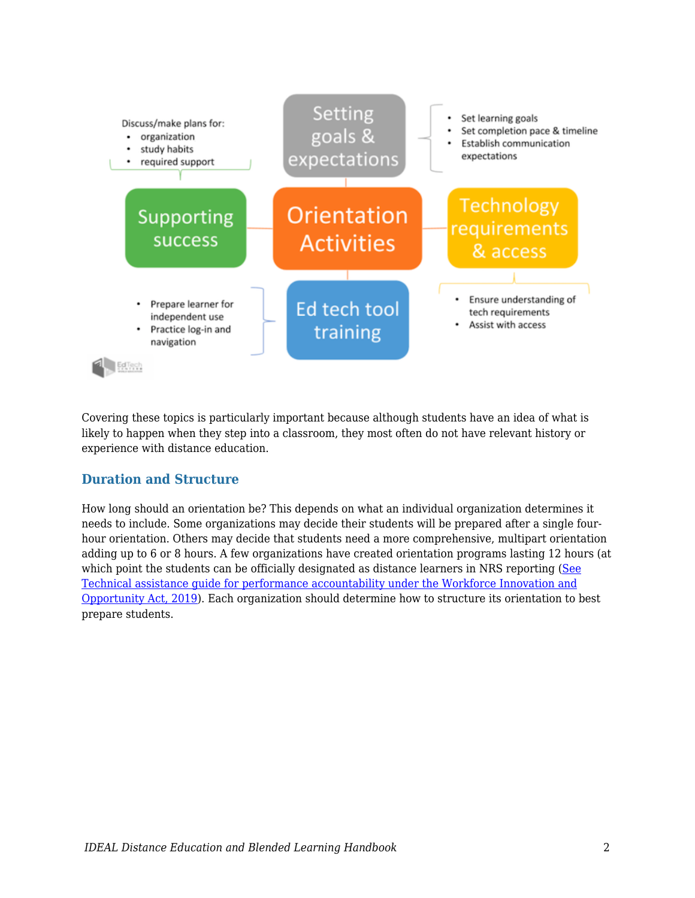

Covering these topics is particularly important because although students have an idea of what is likely to happen when they step into a classroom, they most often do not have relevant history or experience with distance education.

#### **Duration and Structure**

How long should an orientation be? This depends on what an individual organization determines it needs to include. Some organizations may decide their students will be prepared after a single fourhour orientation. Others may decide that students need a more comprehensive, multipart orientation adding up to 6 or 8 hours. A few organizations have created orientation programs lasting 12 hours (at which point the students can be officially designated as distance learners in NRS reporting ([See](https://nrsweb.org/policy-data/nrs-ta-guide) [Technical assistance guide for performance accountability under the Workforce Innovation and](https://nrsweb.org/policy-data/nrs-ta-guide) [Opportunity Act, 2019](https://nrsweb.org/policy-data/nrs-ta-guide)). Each organization should determine how to structure its orientation to best prepare students.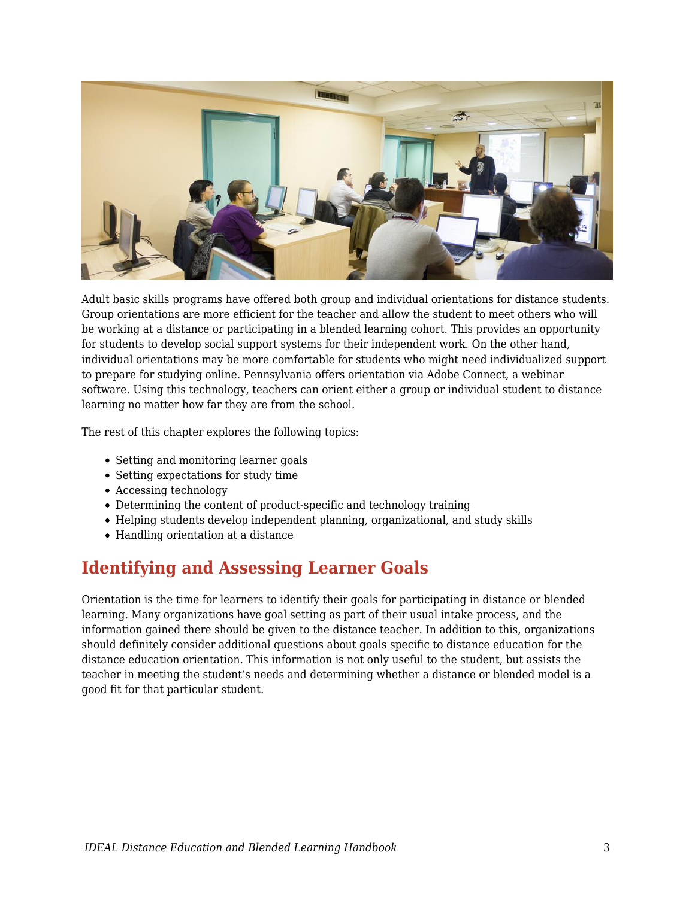

Adult basic skills programs have offered both group and individual orientations for distance students. Group orientations are more efficient for the teacher and allow the student to meet others who will be working at a distance or participating in a blended learning cohort. This provides an opportunity for students to develop social support systems for their independent work. On the other hand, individual orientations may be more comfortable for students who might need individualized support to prepare for studying online. Pennsylvania offers orientation via Adobe Connect, a webinar software. Using this technology, teachers can orient either a group or individual student to distance learning no matter how far they are from the school.

The rest of this chapter explores the following topics:

- Setting and monitoring learner goals
- Setting expectations for study time
- Accessing technology
- Determining the content of product-specific and technology training
- Helping students develop independent planning, organizational, and study skills
- Handling orientation at a distance

### **Identifying and Assessing Learner Goals**

Orientation is the time for learners to identify their goals for participating in distance or blended learning. Many organizations have goal setting as part of their usual intake process, and the information gained there should be given to the distance teacher. In addition to this, organizations should definitely consider additional questions about goals specific to distance education for the distance education orientation. This information is not only useful to the student, but assists the teacher in meeting the student's needs and determining whether a distance or blended model is a good fit for that particular student.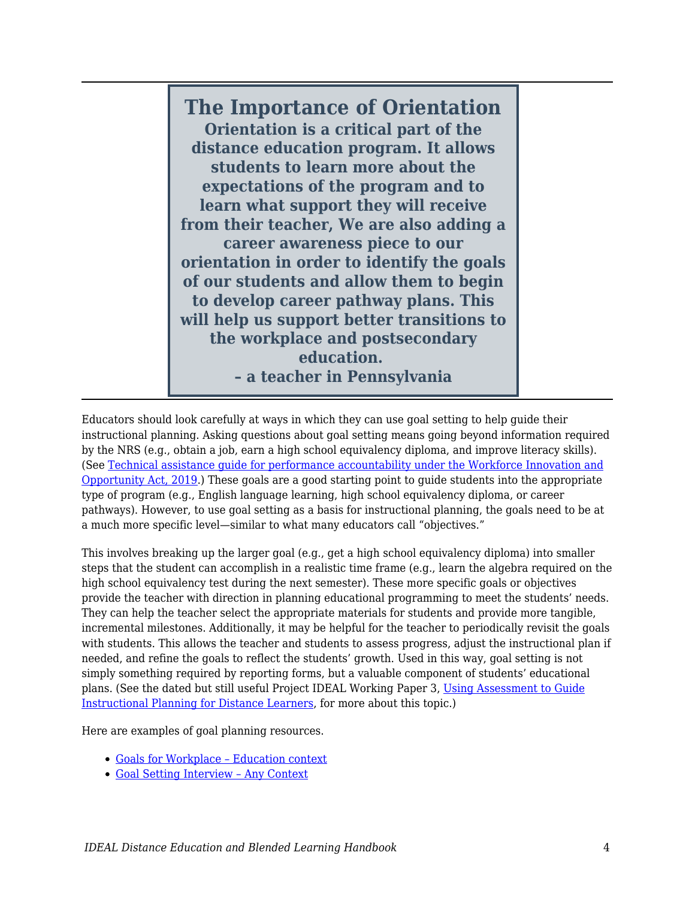**The Importance of Orientation Orientation is a critical part of the distance education program. It allows students to learn more about the expectations of the program and to learn what support they will receive from their teacher, We are also adding a career awareness piece to our orientation in order to identify the goals of our students and allow them to begin to develop career pathway plans. This will help us support better transitions to the workplace and postsecondary education. – a teacher in Pennsylvania**

Educators should look carefully at ways in which they can use goal setting to help guide their instructional planning. Asking questions about goal setting means going beyond information required by the NRS (e.g., obtain a job, earn a high school equivalency diploma, and improve literacy skills). (See [Technical assistance guide for performance accountability under the Workforce Innovation and](https://nrsweb.org/policy-data/nrs-ta-guide) [Opportunity Act, 2019](https://nrsweb.org/policy-data/nrs-ta-guide).) These goals are a good starting point to guide students into the appropriate type of program (e.g., English language learning, high school equivalency diploma, or career pathways). However, to use goal setting as a basis for instructional planning, the goals need to be at a much more specific level—similar to what many educators call "objectives."

This involves breaking up the larger goal (e.g., get a high school equivalency diploma) into smaller steps that the student can accomplish in a realistic time frame (e.g., learn the algebra required on the high school equivalency test during the next semester). These more specific goals or objectives provide the teacher with direction in planning educational programming to meet the students' needs. They can help the teacher select the appropriate materials for students and provide more tangible, incremental milestones. Additionally, it may be helpful for the teacher to periodically revisit the goals with students. This allows the teacher and students to assess progress, adjust the instructional plan if needed, and refine the goals to reflect the students' growth. Used in this way, goal setting is not simply something required by reporting forms, but a valuable component of students' educational plans. (See the dated but still useful Project IDEAL Working Paper 3, [Using Assessment to Guide](https://edtech.worlded.org/wp-content/uploads/2017/07/WP3AssessmentGuidePlanning2004.pdf) [Instructional Planning for Distance Learners](https://edtech.worlded.org/wp-content/uploads/2017/07/WP3AssessmentGuidePlanning2004.pdf), for more about this topic.)

Here are examples of goal planning resources.

- [Goals for Workplace Education context](https://docs.google.com/document/d/1zQCF9eq9nTk3ZQY_0E9M_Z5VoCi7KF5RMW7kEaJmL3Y/edit?usp=sharing)
- [Goal Setting Interview Any Context](https://docs.google.com/document/d/1BDTtzMx4tZ28Th9FLcUB8Kt_JTuCQYzOCBNQ21kvUKc/edit?usp=sharing)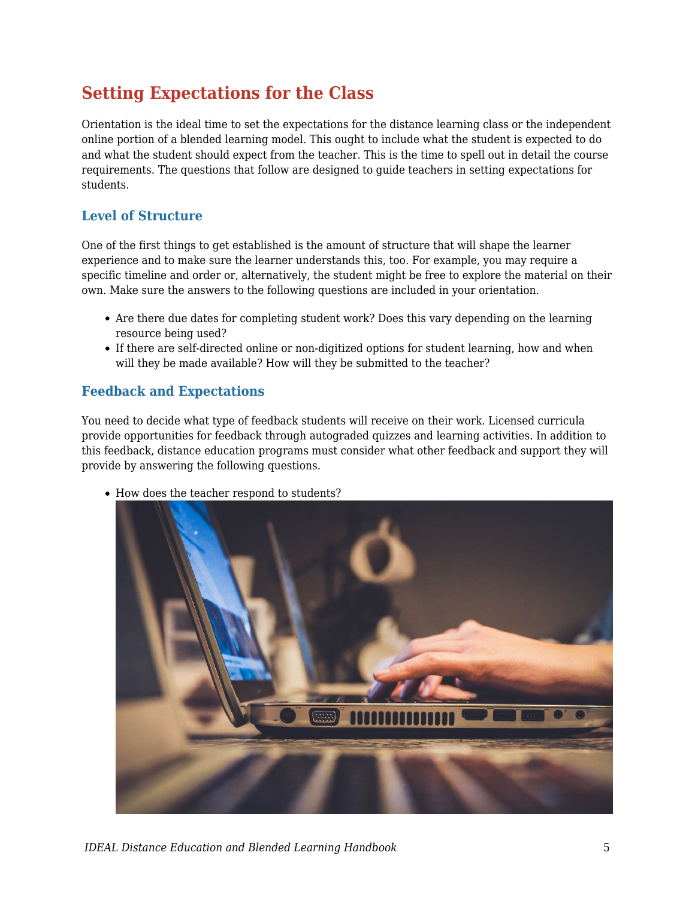### **Setting Expectations for the Class**

Orientation is the ideal time to set the expectations for the distance learning class or the independent online portion of a blended learning model. This ought to include what the student is expected to do and what the student should expect from the teacher. This is the time to spell out in detail the course requirements. The questions that follow are designed to guide teachers in setting expectations for students.

### **Level of Structure**

One of the first things to get established is the amount of structure that will shape the learner experience and to make sure the learner understands this, too. For example, you may require a specific timeline and order or, alternatively, the student might be free to explore the material on their own. Make sure the answers to the following questions are included in your orientation.

- Are there due dates for completing student work? Does this vary depending on the learning resource being used?
- If there are self-directed online or non-digitized options for student learning, how and when will they be made available? How will they be submitted to the teacher?

### **Feedback and Expectations**

You need to decide what type of feedback students will receive on their work. Licensed curricula provide opportunities for feedback through autograded quizzes and learning activities. In addition to this feedback, distance education programs must consider what other feedback and support they will provide by answering the following questions.



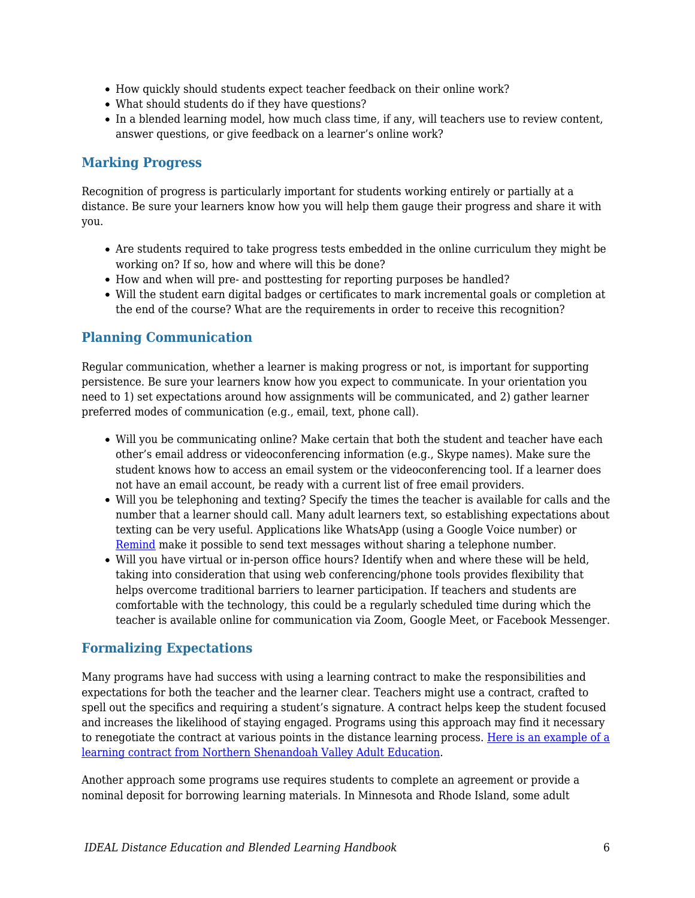- How quickly should students expect teacher feedback on their online work?
- What should students do if they have questions?
- In a blended learning model, how much class time, if any, will teachers use to review content, answer questions, or give feedback on a learner's online work?

#### **Marking Progress**

Recognition of progress is particularly important for students working entirely or partially at a distance. Be sure your learners know how you will help them gauge their progress and share it with you.

- Are students required to take progress tests embedded in the online curriculum they might be working on? If so, how and where will this be done?
- How and when will pre- and posttesting for reporting purposes be handled?
- Will the student earn digital badges or certificates to mark incremental goals or completion at the end of the course? What are the requirements in order to receive this recognition?

### **Planning Communication**

Regular communication, whether a learner is making progress or not, is important for supporting persistence. Be sure your learners know how you expect to communicate. In your orientation you need to 1) set expectations around how assignments will be communicated, and 2) gather learner preferred modes of communication (e.g., email, text, phone call).

- Will you be communicating online? Make certain that both the student and teacher have each other's email address or videoconferencing information (e.g., Skype names). Make sure the student knows how to access an email system or the videoconferencing tool. If a learner does not have an email account, be ready with a current list of free email providers.
- Will you be telephoning and texting? Specify the times the teacher is available for calls and the number that a learner should call. Many adult learners text, so establishing expectations about texting can be very useful. Applications like WhatsApp (using a Google Voice number) or [Remind](https://www.remind.com/) make it possible to send text messages without sharing a telephone number.
- Will you have virtual or in-person office hours? Identify when and where these will be held, taking into consideration that using web conferencing/phone tools provides flexibility that helps overcome traditional barriers to learner participation. If teachers and students are comfortable with the technology, this could be a regularly scheduled time during which the teacher is available online for communication via Zoom, Google Meet, or Facebook Messenger.

### **Formalizing Expectations**

Many programs have had success with using a learning contract to make the responsibilities and expectations for both the teacher and the learner clear. Teachers might use a contract, crafted to spell out the specifics and requiring a student's signature. A contract helps keep the student focused and increases the likelihood of staying engaged. Programs using this approach may find it necessary to renegotiate the contract at various points in the distance learning process. [Here is an example of a](https://docs.google.com/document/d/1DaslPOlH0YMRBy4ibmXRhw8TbfTReqtLggSKoYqj0iA/edit?usp=sharing) [learning contract from Northern Shenandoah Valley Adult Education.](https://docs.google.com/document/d/1DaslPOlH0YMRBy4ibmXRhw8TbfTReqtLggSKoYqj0iA/edit?usp=sharing)

Another approach some programs use requires students to complete an agreement or provide a nominal deposit for borrowing learning materials. In Minnesota and Rhode Island, some adult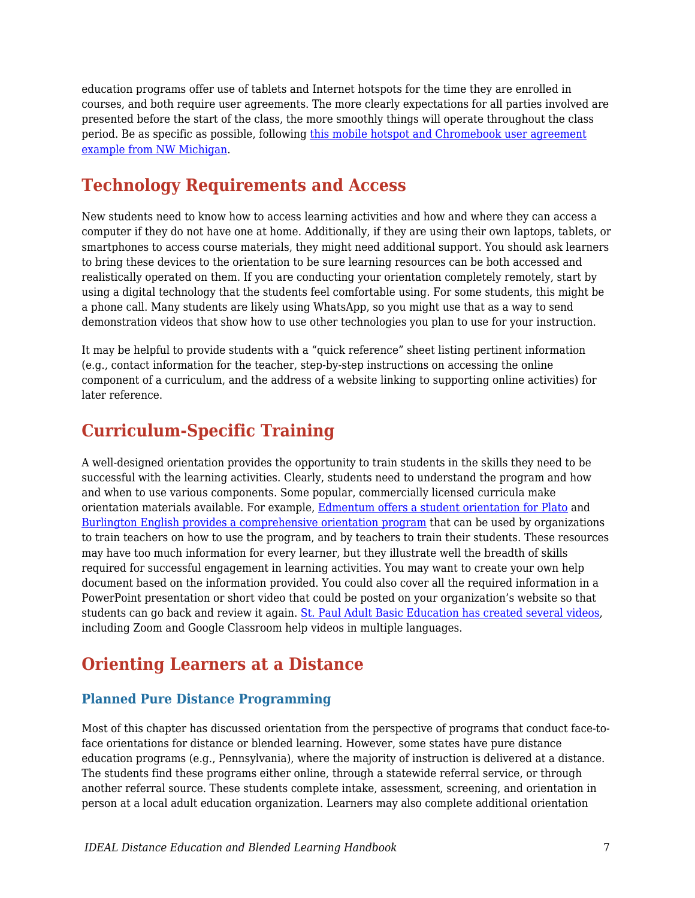education programs offer use of tablets and Internet hotspots for the time they are enrolled in courses, and both require user agreements. The more clearly expectations for all parties involved are presented before the start of the class, the more smoothly things will operate throughout the class period. Be as specific as possible, following [this mobile hotspot and Chromebook user agreement](https://drive.google.com/file/d/1ZOcDlXXi3qBT9j1Npf6oI4ykoZE-sSC5/view?usp=sharing) [example from NW Michigan](https://drive.google.com/file/d/1ZOcDlXXi3qBT9j1Npf6oI4ykoZE-sSC5/view?usp=sharing).

### **Technology Requirements and Access**

New students need to know how to access learning activities and how and where they can access a computer if they do not have one at home. Additionally, if they are using their own laptops, tablets, or smartphones to access course materials, they might need additional support. You should ask learners to bring these devices to the orientation to be sure learning resources can be both accessed and realistically operated on them. If you are conducting your orientation completely remotely, start by using a digital technology that the students feel comfortable using. For some students, this might be a phone call. Many students are likely using WhatsApp, so you might use that as a way to send demonstration videos that show how to use other technologies you plan to use for your instruction.

It may be helpful to provide students with a "quick reference" sheet listing pertinent information (e.g., contact information for the teacher, step-by-step instructions on accessing the online component of a curriculum, and the address of a website linking to supporting online activities) for later reference.

### **Curriculum-Specific Training**

A well-designed orientation provides the opportunity to train students in the skills they need to be successful with the learning activities. Clearly, students need to understand the program and how and when to use various components. Some popular, commercially licensed curricula make orientation materials available. For example, [Edmentum offers a student orientation for Plato](http://supportcdn.edmentum.com/Plato_Student_Orientation.pdf) and [Burlington English provides a comprehensive orientation program](http://www.burlingtonenglish.com/wp-content/uploads/2015/11/BCP_Program-Orientation.pdf) that can be used by organizations to train teachers on how to use the program, and by teachers to train their students. These resources may have too much information for every learner, but they illustrate well the breadth of skills required for successful engagement in learning activities. You may want to create your own help document based on the information provided. You could also cover all the required information in a PowerPoint presentation or short video that could be posted on your organization's website so that students can go back and review it again. [St. Paul Adult Basic Education has created several videos](https://www.spps.org/Page/36659), including Zoom and Google Classroom help videos in multiple languages.

### **Orienting Learners at a Distance**

### **Planned Pure Distance Programming**

Most of this chapter has discussed orientation from the perspective of programs that conduct face-toface orientations for distance or blended learning. However, some states have pure distance education programs (e.g., Pennsylvania), where the majority of instruction is delivered at a distance. The students find these programs either online, through a statewide referral service, or through another referral source. These students complete intake, assessment, screening, and orientation in person at a local adult education organization. Learners may also complete additional orientation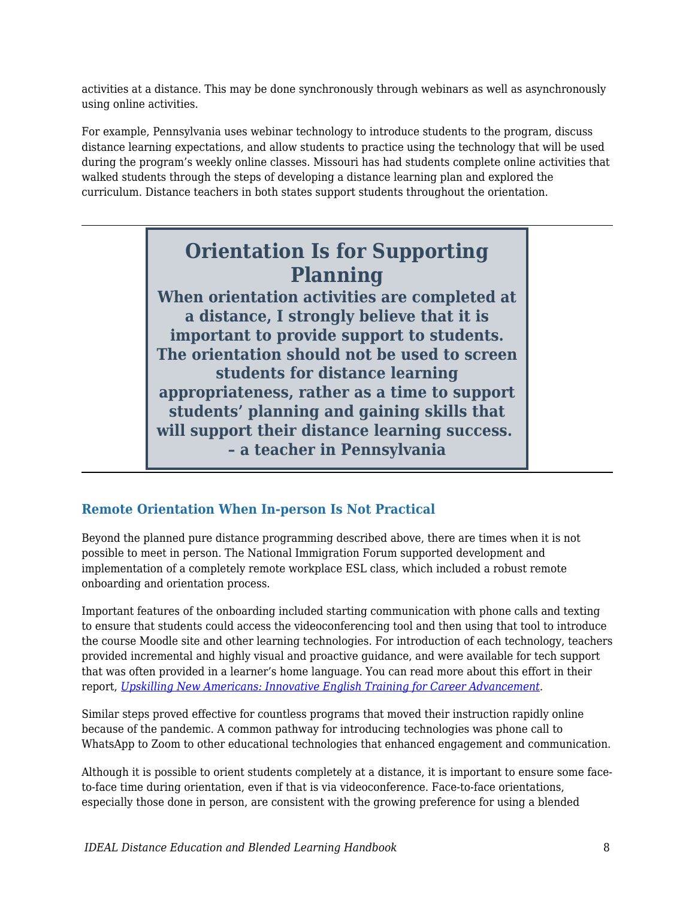activities at a distance. This may be done synchronously through webinars as well as asynchronously using online activities.

For example, Pennsylvania uses webinar technology to introduce students to the program, discuss distance learning expectations, and allow students to practice using the technology that will be used during the program's weekly online classes. Missouri has had students complete online activities that walked students through the steps of developing a distance learning plan and explored the curriculum. Distance teachers in both states support students throughout the orientation.

## **Orientation Is for Supporting Planning**

**When orientation activities are completed at a distance, I strongly believe that it is important to provide support to students. The orientation should not be used to screen students for distance learning appropriateness, rather as a time to support students' planning and gaining skills that will support their distance learning success. – a teacher in Pennsylvania**

### **Remote Orientation When In-person Is Not Practical**

Beyond the planned pure distance programming described above, there are times when it is not possible to meet in person. The National Immigration Forum supported development and implementation of a completely remote workplace ESL class, which included a robust remote onboarding and orientation process.

Important features of the onboarding included starting communication with phone calls and texting to ensure that students could access the videoconferencing tool and then using that tool to introduce the course Moodle site and other learning technologies. For introduction of each technology, teachers provided incremental and highly visual and proactive guidance, and were available for tech support that was often provided in a learner's home language. You can read more about this effort in their report, *[Upskilling New Americans: Innovative English Training for Career Advancement](https://immigrationforum.org/article/upskilling-new-americans-innovative-english-training-for-career-advancement/)*.

Similar steps proved effective for countless programs that moved their instruction rapidly online because of the pandemic. A common pathway for introducing technologies was phone call to WhatsApp to Zoom to other educational technologies that enhanced engagement and communication.

Although it is possible to orient students completely at a distance, it is important to ensure some faceto-face time during orientation, even if that is via videoconference. Face-to-face orientations, especially those done in person, are consistent with the growing preference for using a blended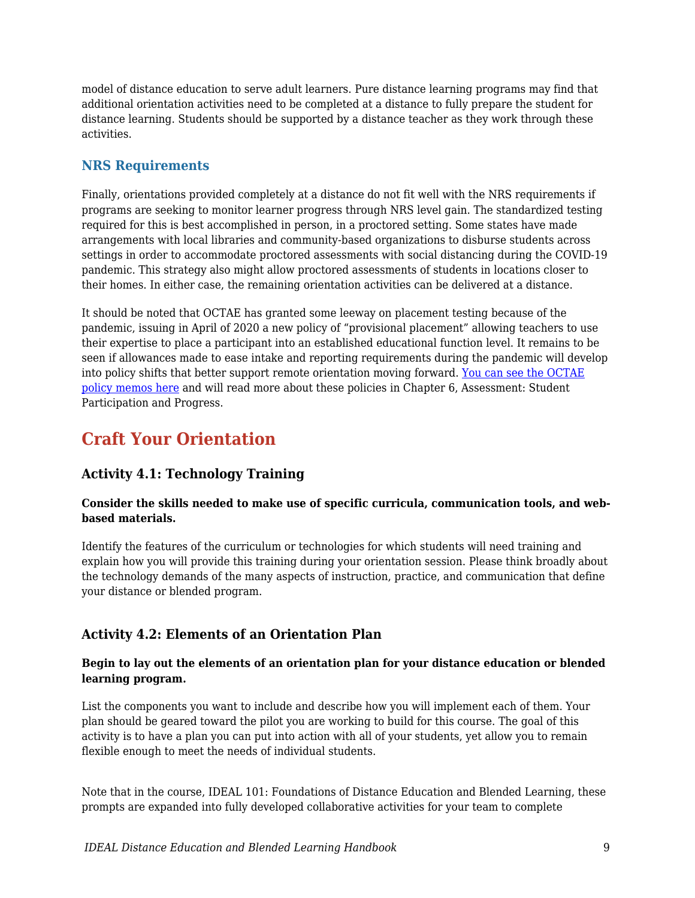model of distance education to serve adult learners. Pure distance learning programs may find that additional orientation activities need to be completed at a distance to fully prepare the student for distance learning. Students should be supported by a distance teacher as they work through these activities.

### **NRS Requirements**

Finally, orientations provided completely at a distance do not fit well with the NRS requirements if programs are seeking to monitor learner progress through NRS level gain. The standardized testing required for this is best accomplished in person, in a proctored setting. Some states have made arrangements with local libraries and community-based organizations to disburse students across settings in order to accommodate proctored assessments with social distancing during the COVID-19 pandemic. This strategy also might allow proctored assessments of students in locations closer to their homes. In either case, the remaining orientation activities can be delivered at a distance.

It should be noted that OCTAE has granted some leeway on placement testing because of the pandemic, issuing in April of 2020 a new policy of "provisional placement" allowing teachers to use their expertise to place a participant into an established educational function level. It remains to be seen if allowances made to ease intake and reporting requirements during the pandemic will develop into policy shifts that better support remote orientation moving forward. [You can see the OCTAE](https://www2.ed.gov/policy/adulted/guid/memoranda.html) [policy memos here](https://www2.ed.gov/policy/adulted/guid/memoranda.html) and will read more about these policies in Chapter 6, Assessment: Student Participation and Progress.

### **Craft Your Orientation**

### **Activity 4.1: Technology Training**

#### **Consider the skills needed to make use of specific curricula, communication tools, and webbased materials.**

Identify the features of the curriculum or technologies for which students will need training and explain how you will provide this training during your orientation session. Please think broadly about the technology demands of the many aspects of instruction, practice, and communication that define your distance or blended program.

### **Activity 4.2: Elements of an Orientation Plan**

#### **Begin to lay out the elements of an orientation plan for your distance education or blended learning program.**

List the components you want to include and describe how you will implement each of them. Your plan should be geared toward the pilot you are working to build for this course. The goal of this activity is to have a plan you can put into action with all of your students, yet allow you to remain flexible enough to meet the needs of individual students.

Note that in the course, IDEAL 101: Foundations of Distance Education and Blended Learning, these prompts are expanded into fully developed collaborative activities for your team to complete